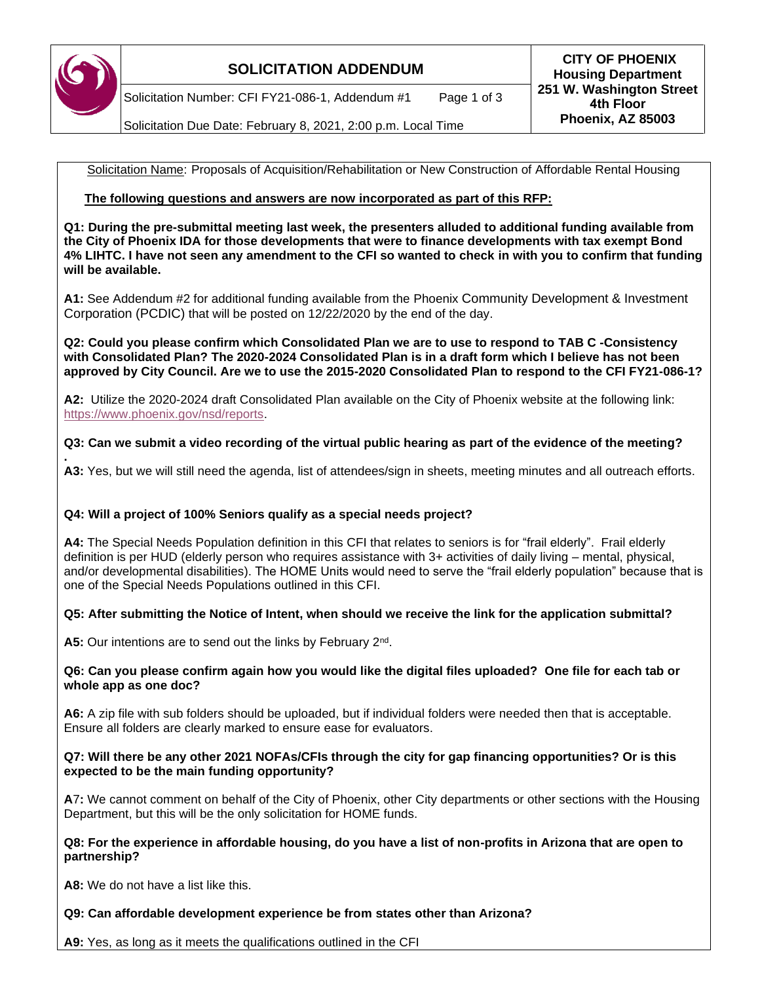

Solicitation Number: CFI FY21-086-1, Addendum #1 Page 1 of 3

Solicitation Due Date: February 8, 2021, 2:00 p.m. Local Time

Solicitation Name: Proposals of Acquisition/Rehabilitation or New Construction of Affordable Rental Housing

# **The following questions and answers are now incorporated as part of this RFP:**

**Q1: During the pre-submittal meeting last week, the presenters alluded to additional funding available from the City of Phoenix IDA for those developments that were to finance developments with tax exempt Bond 4% LIHTC. I have not seen any amendment to the CFI so wanted to check in with you to confirm that funding will be available.**

**A1:** See Addendum #2 for additional funding available from the Phoenix Community Development & Investment Corporation (PCDIC) that will be posted on 12/22/2020 by the end of the day.

**Q2: Could you please confirm which Consolidated Plan we are to use to respond to TAB C -Consistency with Consolidated Plan? The 2020-2024 Consolidated Plan is in a draft form which I believe has not been approved by City Council. Are we to use the 2015-2020 Consolidated Plan to respond to the CFI FY21-086-1?**

**A2:** Utilize the 2020-2024 draft Consolidated Plan available on the City of Phoenix website at the following link: [https://www.phoenix.gov/nsd/reports.](https://www.phoenix.gov/nsd/reports)

## **Q3: Can we submit a video recording of the virtual public hearing as part of the evidence of the meeting?**

**. A3:** Yes, but we will still need the agenda, list of attendees/sign in sheets, meeting minutes and all outreach efforts.

## **Q4: Will a project of 100% Seniors qualify as a special needs project?**

**A4:** The Special Needs Population definition in this CFI that relates to seniors is for "frail elderly". Frail elderly definition is per HUD (elderly person who requires assistance with 3+ activities of daily living – mental, physical, and/or developmental disabilities). The HOME Units would need to serve the "frail elderly population" because that is one of the Special Needs Populations outlined in this CFI.

## **Q5: After submitting the Notice of Intent, when should we receive the link for the application submittal?**

A5: Our intentions are to send out the links by February 2<sup>nd</sup>.

### **Q6: Can you please confirm again how you would like the digital files uploaded? One file for each tab or whole app as one doc?**

**A6:** A zip file with sub folders should be uploaded, but if individual folders were needed then that is acceptable. Ensure all folders are clearly marked to ensure ease for evaluators.

## **Q7: Will there be any other 2021 NOFAs/CFIs through the city for gap financing opportunities? Or is this expected to be the main funding opportunity?**

**A**7**:** We cannot comment on behalf of the City of Phoenix, other City departments or other sections with the Housing Department, but this will be the only solicitation for HOME funds.

## **Q8: For the experience in affordable housing, do you have a list of non-profits in Arizona that are open to partnership?**

**A8:** We do not have a list like this.

**Q9: Can affordable development experience be from states other than Arizona?**

**A9:** Yes, as long as it meets the qualifications outlined in the CFI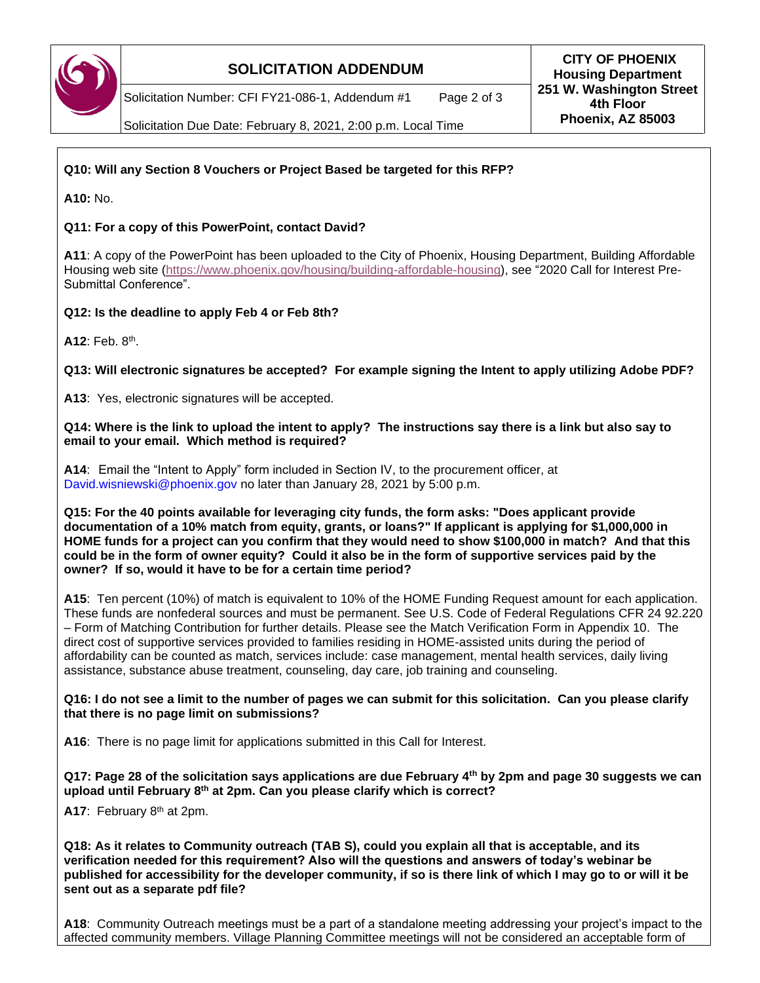

Solicitation Number: CFI FY21-086-1, Addendum #1 Page 2 of 3

**SOLICITATION ADDENDUM CITY OF PHOENIX Housing Department 251 W. Washington Street 4th Floor Phoenix, AZ 85003**

Solicitation Due Date: February 8, 2021, 2:00 p.m. Local Time

# **Q10: Will any Section 8 Vouchers or Project Based be targeted for this RFP?**

**A10:** No.

## **Q11: For a copy of this PowerPoint, contact David?**

**A11**: A copy of the PowerPoint has been uploaded to the City of Phoenix, Housing Department, Building Affordable Housing web site [\(https://www.phoenix.gov/housing/building-affordable-housing\)](https://www.phoenix.gov/housing/building-affordable-housing), see "2020 Call for Interest Pre-Submittal Conference".

## **Q12: Is the deadline to apply Feb 4 or Feb 8th?**

**A12**: Feb. 8th .

**Q13: Will electronic signatures be accepted? For example signing the Intent to apply utilizing Adobe PDF?**

**A13**: Yes, electronic signatures will be accepted.

**Q14: Where is the link to upload the intent to apply? The instructions say there is a link but also say to email to your email. Which method is required?**

**A14**: Email the "Intent to Apply" form included in Section IV, to the procurement officer, at David.wisniewski@phoenix.gov no later than January 28, 2021 by 5:00 p.m.

**Q15: For the 40 points available for leveraging city funds, the form asks: "Does applicant provide documentation of a 10% match from equity, grants, or loans?" If applicant is applying for \$1,000,000 in HOME funds for a project can you confirm that they would need to show \$100,000 in match? And that this could be in the form of owner equity? Could it also be in the form of supportive services paid by the owner? If so, would it have to be for a certain time period?**

**A15**: Ten percent (10%) of match is equivalent to 10% of the HOME Funding Request amount for each application. These funds are nonfederal sources and must be permanent. See U.S. Code of Federal Regulations CFR 24 92.220 – Form of Matching Contribution for further details. Please see the Match Verification Form in Appendix 10. The direct cost of supportive services provided to families residing in HOME-assisted units during the period of affordability can be counted as match, services include: case management, mental health services, daily living assistance, substance abuse treatment, counseling, day care, job training and counseling.

### **Q16: I do not see a limit to the number of pages we can submit for this solicitation. Can you please clarify that there is no page limit on submissions?**

**A16**: There is no page limit for applications submitted in this Call for Interest.

**Q17: Page 28 of the solicitation says applications are due February 4th by 2pm and page 30 suggests we can upload until February 8th at 2pm. Can you please clarify which is correct?**

**A17**: February 8th at 2pm.

**Q18: As it relates to Community outreach (TAB S), could you explain all that is acceptable, and its verification needed for this requirement? Also will the questions and answers of today's webinar be published for accessibility for the developer community, if so is there link of which I may go to or will it be sent out as a separate pdf file?** 

**A18**: Community Outreach meetings must be a part of a standalone meeting addressing your project's impact to the affected community members. Village Planning Committee meetings will not be considered an acceptable form of